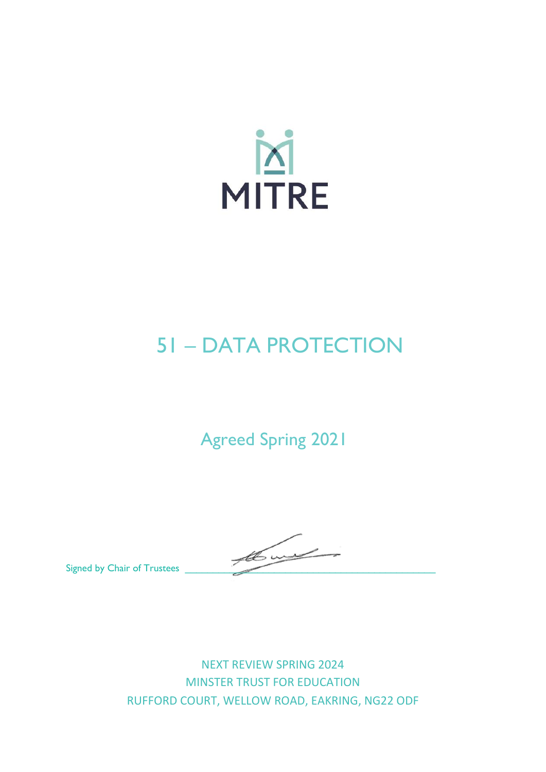

# 51 – DATA PROTECTION

# Agreed Spring 2021

Signed by Chair of Trustees

NEXT REVIEW SPRING 2024 MINSTER TRUST FOR EDUCATION RUFFORD COURT, WELLOW ROAD, EAKRING, NG22 ODF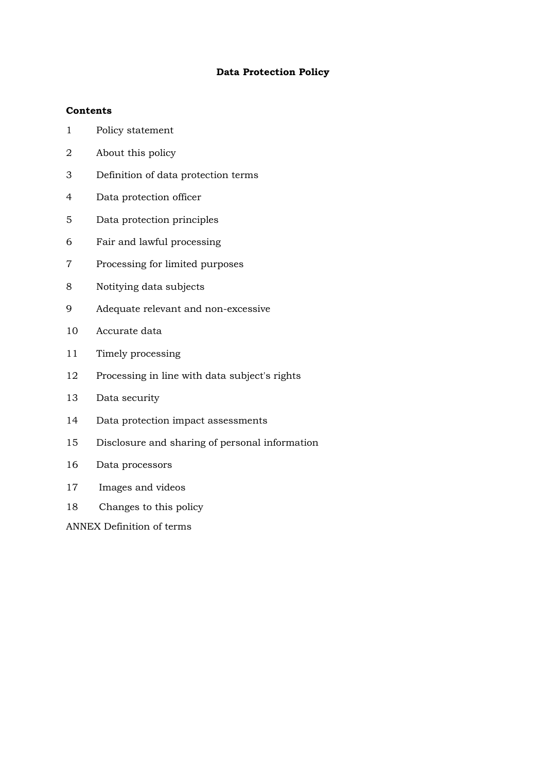# **Data Protection Policy**

# **Contents**

- Policy statement
- About this policy
- Definition of data protection terms
- Data protection officer
- Data protection principles
- Fair and lawful processing
- Processing for limited purposes
- Notitying data subjects
- Adequate relevant and non-excessive
- Accurate data
- Timely processing
- Processing in line with data subject's rights
- Data security
- Data protection impact assessments
- Disclosure and sharing of personal information
- Data processors
- Images and videos
- Changes to this policy

ANNEX Definition of terms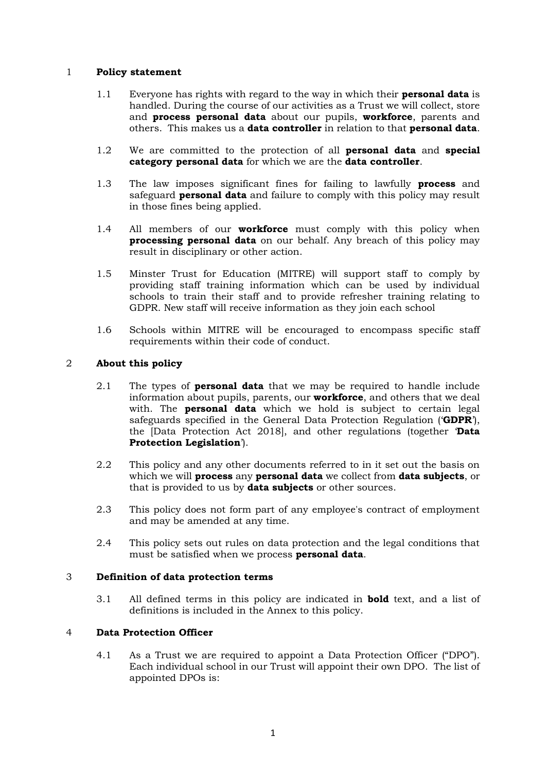#### 1 **Policy statement**

- 1.1 Everyone has rights with regard to the way in which their **personal data** is handled. During the course of our activities as a Trust we will collect, store and **process personal data** about our pupils, **workforce**, parents and others. This makes us a **data controller** in relation to that **personal data**.
- 1.2 We are committed to the protection of all **personal data** and **special category personal data** for which we are the **data controller**.
- 1.3 The law imposes significant fines for failing to lawfully **process** and safeguard **personal data** and failure to comply with this policy may result in those fines being applied.
- 1.4 All members of our **workforce** must comply with this policy when **processing personal data** on our behalf. Any breach of this policy may result in disciplinary or other action.
- 1.5 Minster Trust for Education (MITRE) will support staff to comply by providing staff training information which can be used by individual schools to train their staff and to provide refresher training relating to GDPR. New staff will receive information as they join each school
- 1.6 Schools within MITRE will be encouraged to encompass specific staff requirements within their code of conduct.

### 2 **About this policy**

- 2.1 The types of **personal data** that we may be required to handle include information about pupils, parents, our **workforce**, and others that we deal with. The **personal data** which we hold is subject to certain legal safeguards specified in the General Data Protection Regulation ('**GDPR**'), the [Data Protection Act 2018], and other regulations (together '**Data Protection Legislation**').
- 2.2 This policy and any other documents referred to in it set out the basis on which we will **process** any **personal data** we collect from **data subjects**, or that is provided to us by **data subjects** or other sources.
- 2.3 This policy does not form part of any employee's contract of employment and may be amended at any time.
- 2.4 This policy sets out rules on data protection and the legal conditions that must be satisfied when we process **personal data**.

#### 3 **Definition of data protection terms**

3.1 All defined terms in this policy are indicated in **bold** text, and a list of definitions is included in the Annex to this policy.

#### 4 **Data Protection Officer**

4.1 As a Trust we are required to appoint a Data Protection Officer ("DPO"). Each individual school in our Trust will appoint their own DPO. The list of appointed DPOs is: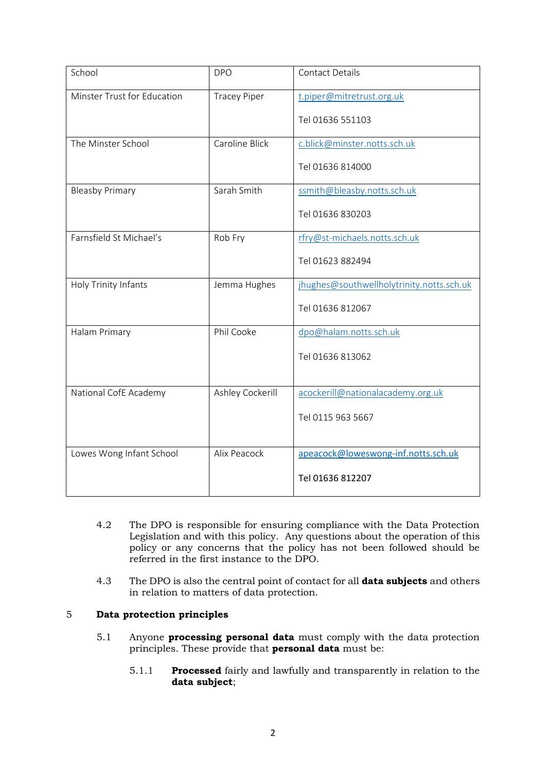| School                      | <b>DPO</b>          | <b>Contact Details</b>                    |
|-----------------------------|---------------------|-------------------------------------------|
| Minster Trust for Education | <b>Tracey Piper</b> | t.piper@mitretrust.org.uk                 |
|                             |                     | Tel 01636 551103                          |
| The Minster School          | Caroline Blick      | c.blick@minster.notts.sch.uk              |
|                             |                     | Tel 01636 814000                          |
| <b>Bleasby Primary</b>      | Sarah Smith         | ssmith@bleasby.notts.sch.uk               |
|                             |                     | Tel 01636 830203                          |
| Farnsfield St Michael's     | Rob Fry             | rfry@st-michaels.notts.sch.uk             |
|                             |                     | Tel 01623 882494                          |
| Holy Trinity Infants        | Jemma Hughes        | jhughes@southwellholytrinity.notts.sch.uk |
|                             |                     | Tel 01636 812067                          |
| Halam Primary               | Phil Cooke          | dpo@halam.notts.sch.uk                    |
|                             |                     | Tel 01636 813062                          |
|                             |                     |                                           |
| National CofE Academy       | Ashley Cockerill    | acockerill@nationalacademy.org.uk         |
|                             |                     | Tel 0115 963 5667                         |
|                             |                     |                                           |
| Lowes Wong Infant School    | Alix Peacock        | apeacock@loweswong-inf.notts.sch.uk       |
|                             |                     | Tel 01636 812207                          |

- 4.2 The DPO is responsible for ensuring compliance with the Data Protection Legislation and with this policy. Any questions about the operation of this policy or any concerns that the policy has not been followed should be referred in the first instance to the DPO.
- 4.3 The DPO is also the central point of contact for all **data subjects** and others in relation to matters of data protection.

# 5 **Data protection principles**

- 5.1 Anyone **processing personal data** must comply with the data protection principles. These provide that **personal data** must be:
	- 5.1.1 **Processed** fairly and lawfully and transparently in relation to the **data subject**;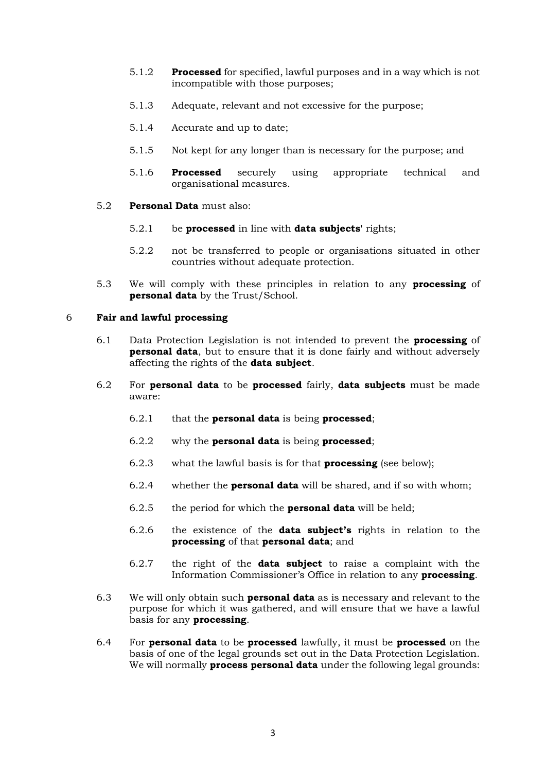- 5.1.2 **Processed** for specified, lawful purposes and in a way which is not incompatible with those purposes;
- 5.1.3 Adequate, relevant and not excessive for the purpose;
- 5.1.4 Accurate and up to date;
- 5.1.5 Not kept for any longer than is necessary for the purpose; and
- 5.1.6 **Processed** securely using appropriate technical and organisational measures.
- 5.2 **Personal Data** must also:
	- 5.2.1 be **processed** in line with **data subjects'** rights;
	- 5.2.2 not be transferred to people or organisations situated in other countries without adequate protection.
- 5.3 We will comply with these principles in relation to any **processing** of **personal data** by the Trust/School.

#### 6 **Fair and lawful processing**

- 6.1 Data Protection Legislation is not intended to prevent the **processing** of **personal data**, but to ensure that it is done fairly and without adversely affecting the rights of the **data subject**.
- 6.2 For **personal data** to be **processed** fairly, **data subjects** must be made aware:
	- 6.2.1 that the **personal data** is being **processed**;
	- 6.2.2 why the **personal data** is being **processed**;
	- 6.2.3 what the lawful basis is for that **processing** (see below);
	- 6.2.4 whether the **personal data** will be shared, and if so with whom;
	- 6.2.5 the period for which the **personal data** will be held;
	- 6.2.6 the existence of the **data subject's** rights in relation to the **processing** of that **personal data**; and
	- 6.2.7 the right of the **data subject** to raise a complaint with the Information Commissioner's Office in relation to any **processing**.
- 6.3 We will only obtain such **personal data** as is necessary and relevant to the purpose for which it was gathered, and will ensure that we have a lawful basis for any **processing**.
- 6.4 For **personal data** to be **processed** lawfully, it must be **processed** on the basis of one of the legal grounds set out in the Data Protection Legislation. We will normally **process personal data** under the following legal grounds: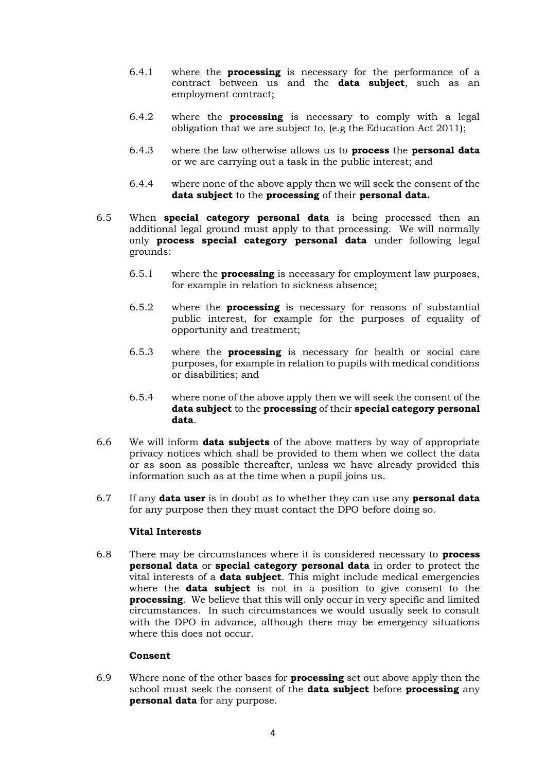- 6.4.1 where the **processing** is necessary for the performance of a contract between us and the **data subject**, such as an employment contract;
- 6.4.2 where the **processing** is necessary to comply with a legal obligation that we are subject to, (e.g the Education Act 2011);
- 6.4.3 where the law otherwise allows us to **process** the **personal data** or we are carrying out a task in the public interest; and
- 6.4.4 where none of the above apply then we will seek the consent of the **data subject** to the **processing** of their **personal data.**
- 6.5 When **special category personal data** is being processed then an additional legal ground must apply to that processing. We will normally only **process special category personal data** under following legal grounds:
	- 6.5.1 where the **processing** is necessary for employment law purposes, for example in relation to sickness absence;
	- 6.5.2 where the **processing** is necessary for reasons of substantial public interest, for example for the purposes of equality of opportunity and treatment;
	- 6.5.3 where the **processing** is necessary for health or social care purposes, for example in relation to pupils with medical conditions or disabilities; and
	- 6.5.4 where none of the above apply then we will seek the consent of the **data subject** to the **processing** of their **special category personal data**.
- 6.6 We will inform **data subjects** of the above matters by way of appropriate privacy notices which shall be provided to them when we collect the data or as soon as possible thereafter, unless we have already provided this information such as at the time when a pupil joins us.
- 6.7 If any **data user** is in doubt as to whether they can use any **personal data** for any purpose then they must contact the DPO before doing so.

#### **Vital Interests**

6.8 There may be circumstances where it is considered necessary to **process personal data** or **special category personal data** in order to protect the vital interests of a **data subject**. This might include medical emergencies where the **data subject** is not in a position to give consent to the **processing**. We believe that this will only occur in very specific and limited circumstances. In such circumstances we would usually seek to consult with the DPO in advance, although there may be emergency situations where this does not occur.

#### **Consent**

6.9 Where none of the other bases for **processing** set out above apply then the school must seek the consent of the **data subject** before **processing** any **personal data** for any purpose.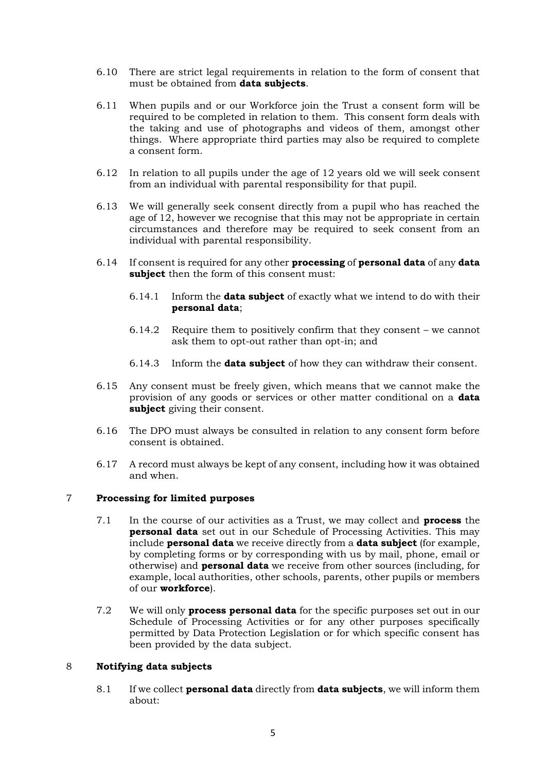- 6.10 There are strict legal requirements in relation to the form of consent that must be obtained from **data subjects**.
- 6.11 When pupils and or our Workforce join the Trust a consent form will be required to be completed in relation to them. This consent form deals with the taking and use of photographs and videos of them, amongst other things. Where appropriate third parties may also be required to complete a consent form.
- 6.12 In relation to all pupils under the age of 12 years old we will seek consent from an individual with parental responsibility for that pupil.
- 6.13 We will generally seek consent directly from a pupil who has reached the age of 12, however we recognise that this may not be appropriate in certain circumstances and therefore may be required to seek consent from an individual with parental responsibility.
- 6.14 If consent is required for any other **processing** of **personal data** of any **data subject** then the form of this consent must:
	- 6.14.1 Inform the **data subject** of exactly what we intend to do with their **personal data**;
	- 6.14.2 Require them to positively confirm that they consent we cannot ask them to opt-out rather than opt-in; and
	- 6.14.3 Inform the **data subject** of how they can withdraw their consent.
- 6.15 Any consent must be freely given, which means that we cannot make the provision of any goods or services or other matter conditional on a **data subject** giving their consent.
- 6.16 The DPO must always be consulted in relation to any consent form before consent is obtained.
- 6.17 A record must always be kept of any consent, including how it was obtained and when.

# 7 **Processing for limited purposes**

- 7.1 In the course of our activities as a Trust, we may collect and **process** the **personal data** set out in our Schedule of Processing Activities. This may include **personal data** we receive directly from a **data subject** (for example, by completing forms or by corresponding with us by mail, phone, email or otherwise) and **personal data** we receive from other sources (including, for example, local authorities, other schools, parents, other pupils or members of our **workforce**).
- 7.2 We will only **process personal data** for the specific purposes set out in our Schedule of Processing Activities or for any other purposes specifically permitted by Data Protection Legislation or for which specific consent has been provided by the data subject.

# 8 **Notifying data subjects**

8.1 If we collect **personal data** directly from **data subjects**, we will inform them about: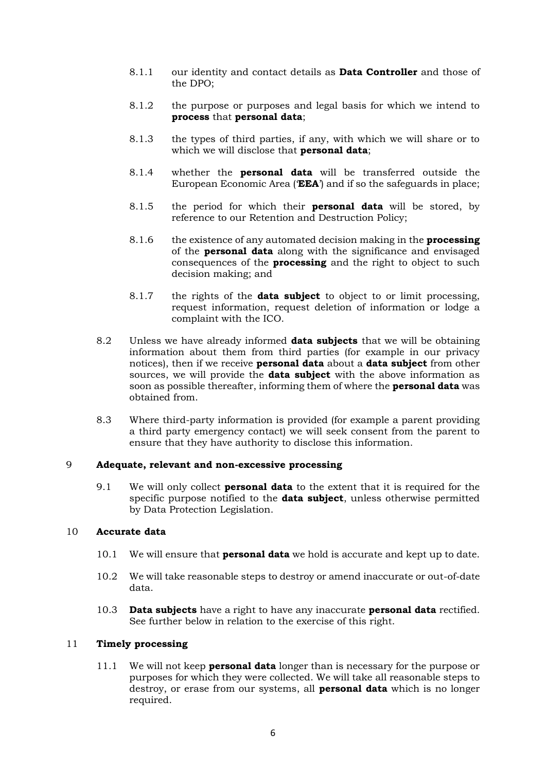- 8.1.1 our identity and contact details as **Data Controller** and those of the DPO;
- 8.1.2 the purpose or purposes and legal basis for which we intend to **process** that **personal data**;
- 8.1.3 the types of third parties, if any, with which we will share or to which we will disclose that **personal data**;
- 8.1.4 whether the **personal data** will be transferred outside the European Economic Area ('**EEA**') and if so the safeguards in place;
- 8.1.5 the period for which their **personal data** will be stored, by reference to our Retention and Destruction Policy;
- 8.1.6 the existence of any automated decision making in the **processing** of the **personal data** along with the significance and envisaged consequences of the **processing** and the right to object to such decision making; and
- 8.1.7 the rights of the **data subject** to object to or limit processing, request information, request deletion of information or lodge a complaint with the ICO.
- 8.2 Unless we have already informed **data subjects** that we will be obtaining information about them from third parties (for example in our privacy notices), then if we receive **personal data** about a **data subject** from other sources, we will provide the **data subject** with the above information as soon as possible thereafter, informing them of where the **personal data** was obtained from.
- 8.3 Where third-party information is provided (for example a parent providing a third party emergency contact) we will seek consent from the parent to ensure that they have authority to disclose this information.

#### 9 **Adequate, relevant and non-excessive processing**

9.1 We will only collect **personal data** to the extent that it is required for the specific purpose notified to the **data subject**, unless otherwise permitted by Data Protection Legislation.

#### 10 **Accurate data**

- 10.1 We will ensure that **personal data** we hold is accurate and kept up to date.
- 10.2 We will take reasonable steps to destroy or amend inaccurate or out-of-date data.
- 10.3 **Data subjects** have a right to have any inaccurate **personal data** rectified. See further below in relation to the exercise of this right.

#### 11 **Timely processing**

11.1 We will not keep **personal data** longer than is necessary for the purpose or purposes for which they were collected. We will take all reasonable steps to destroy, or erase from our systems, all **personal data** which is no longer required.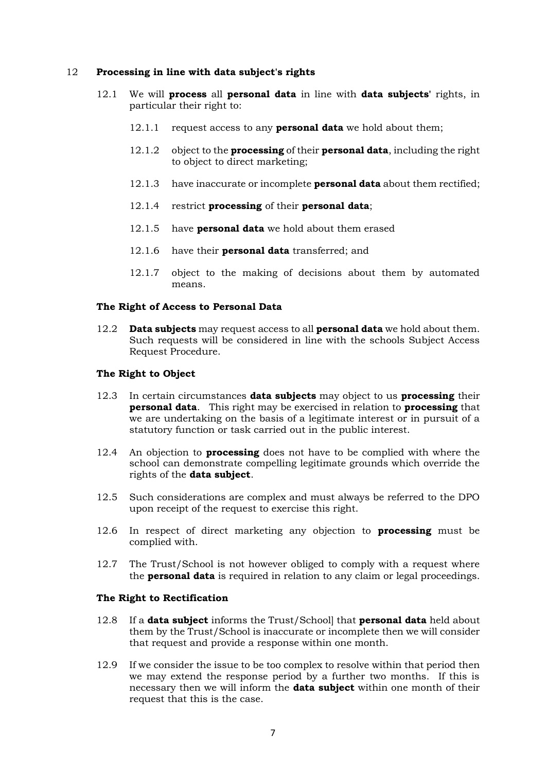#### 12 **Processing in line with data subject's rights**

- 12.1 We will **process** all **personal data** in line with **data subjects'** rights, in particular their right to:
	- 12.1.1 request access to any **personal data** we hold about them;
	- 12.1.2 object to the **processing** of their **personal data**, including the right to object to direct marketing;
	- 12.1.3 have inaccurate or incomplete **personal data** about them rectified;
	- 12.1.4 restrict **processing** of their **personal data**;
	- 12.1.5 have **personal data** we hold about them erased
	- 12.1.6 have their **personal data** transferred; and
	- 12.1.7 object to the making of decisions about them by automated means.

#### **The Right of Access to Personal Data**

12.2 **Data subjects** may request access to all **personal data** we hold about them. Such requests will be considered in line with the schools Subject Access Request Procedure.

#### **The Right to Object**

- 12.3 In certain circumstances **data subjects** may object to us **processing** their **personal data**. This right may be exercised in relation to **processing** that we are undertaking on the basis of a legitimate interest or in pursuit of a statutory function or task carried out in the public interest.
- 12.4 An objection to **processing** does not have to be complied with where the school can demonstrate compelling legitimate grounds which override the rights of the **data subject**.
- 12.5 Such considerations are complex and must always be referred to the DPO upon receipt of the request to exercise this right.
- 12.6 In respect of direct marketing any objection to **processing** must be complied with.
- 12.7 The Trust/School is not however obliged to comply with a request where the **personal data** is required in relation to any claim or legal proceedings.

#### **The Right to Rectification**

- 12.8 If a **data subject** informs the Trust/School] that **personal data** held about them by the Trust/School is inaccurate or incomplete then we will consider that request and provide a response within one month.
- 12.9 If we consider the issue to be too complex to resolve within that period then we may extend the response period by a further two months. If this is necessary then we will inform the **data subject** within one month of their request that this is the case.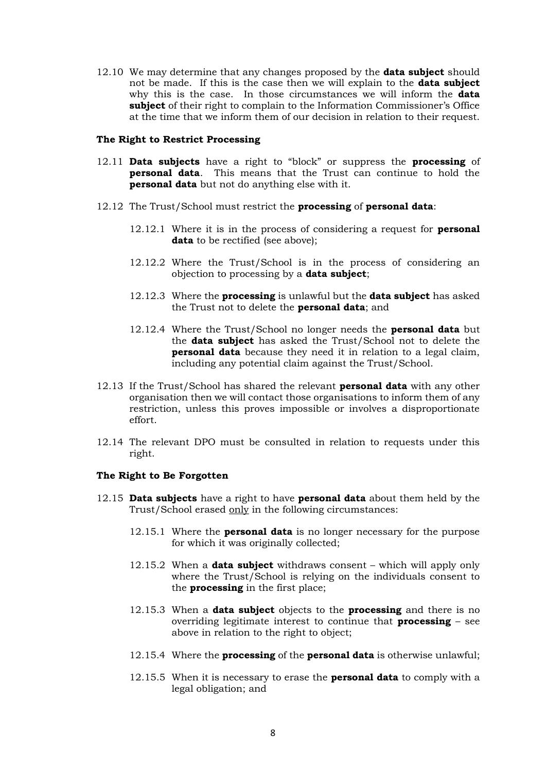12.10 We may determine that any changes proposed by the **data subject** should not be made. If this is the case then we will explain to the **data subject**  why this is the case. In those circumstances we will inform the **data subject** of their right to complain to the Information Commissioner's Office at the time that we inform them of our decision in relation to their request.

#### **The Right to Restrict Processing**

- 12.11 **Data subjects** have a right to "block" or suppress the **processing** of **personal data**. This means that the Trust can continue to hold the **personal data** but not do anything else with it.
- 12.12 The Trust/School must restrict the **processing** of **personal data**:
	- 12.12.1 Where it is in the process of considering a request for **personal**  data to be rectified (see above);
	- 12.12.2 Where the Trust/School is in the process of considering an objection to processing by a **data subject**;
	- 12.12.3 Where the **processing** is unlawful but the **data subject** has asked the Trust not to delete the **personal data**; and
	- 12.12.4 Where the Trust/School no longer needs the **personal data** but the **data subject** has asked the Trust/School not to delete the **personal data** because they need it in relation to a legal claim, including any potential claim against the Trust/School.
- 12.13 If the Trust/School has shared the relevant **personal data** with any other organisation then we will contact those organisations to inform them of any restriction, unless this proves impossible or involves a disproportionate effort.
- 12.14 The relevant DPO must be consulted in relation to requests under this right.

#### **The Right to Be Forgotten**

- 12.15 **Data subjects** have a right to have **personal data** about them held by the Trust/School erased only in the following circumstances:
	- 12.15.1 Where the **personal data** is no longer necessary for the purpose for which it was originally collected;
	- 12.15.2 When a **data subject** withdraws consent which will apply only where the Trust/School is relying on the individuals consent to the **processing** in the first place;
	- 12.15.3 When a **data subject** objects to the **processing** and there is no overriding legitimate interest to continue that **processing** – see above in relation to the right to object;
	- 12.15.4 Where the **processing** of the **personal data** is otherwise unlawful;
	- 12.15.5 When it is necessary to erase the **personal data** to comply with a legal obligation; and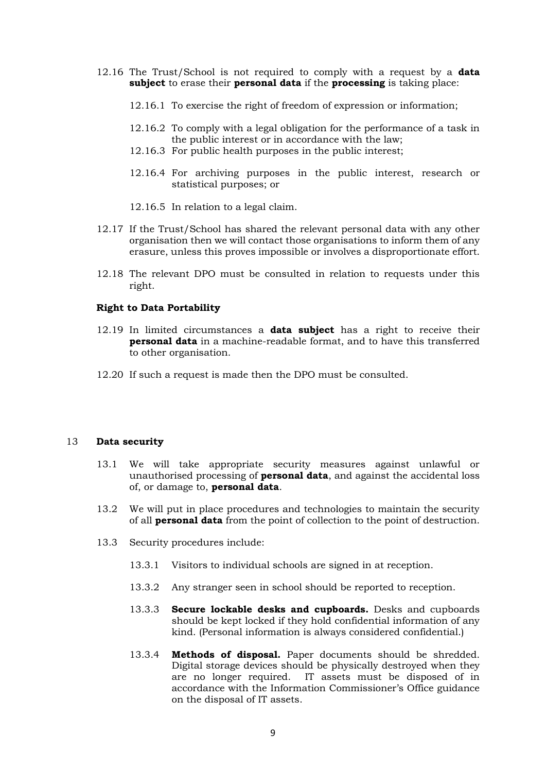- 12.16 The Trust/School is not required to comply with a request by a **data subject** to erase their **personal data** if the **processing** is taking place:
	- 12.16.1 To exercise the right of freedom of expression or information;
	- 12.16.2 To comply with a legal obligation for the performance of a task in the public interest or in accordance with the law;
	- 12.16.3 For public health purposes in the public interest;
	- 12.16.4 For archiving purposes in the public interest, research or statistical purposes; or
	- 12.16.5 In relation to a legal claim.
- 12.17 If the Trust/School has shared the relevant personal data with any other organisation then we will contact those organisations to inform them of any erasure, unless this proves impossible or involves a disproportionate effort.
- 12.18 The relevant DPO must be consulted in relation to requests under this right.

#### **Right to Data Portability**

- 12.19 In limited circumstances a **data subject** has a right to receive their **personal data** in a machine-readable format, and to have this transferred to other organisation.
- 12.20 If such a request is made then the DPO must be consulted.

#### 13 **Data security**

- 13.1 We will take appropriate security measures against unlawful or unauthorised processing of **personal data**, and against the accidental loss of, or damage to, **personal data**.
- 13.2 We will put in place procedures and technologies to maintain the security of all **personal data** from the point of collection to the point of destruction.
- 13.3 Security procedures include:
	- 13.3.1 Visitors to individual schools are signed in at reception.
	- 13.3.2 Any stranger seen in school should be reported to reception.
	- 13.3.3 **Secure lockable desks and cupboards.** Desks and cupboards should be kept locked if they hold confidential information of any kind. (Personal information is always considered confidential.)
	- 13.3.4 **Methods of disposal.** Paper documents should be shredded. Digital storage devices should be physically destroyed when they are no longer required. IT assets must be disposed of in accordance with the Information Commissioner's Office guidance on the disposal of IT assets.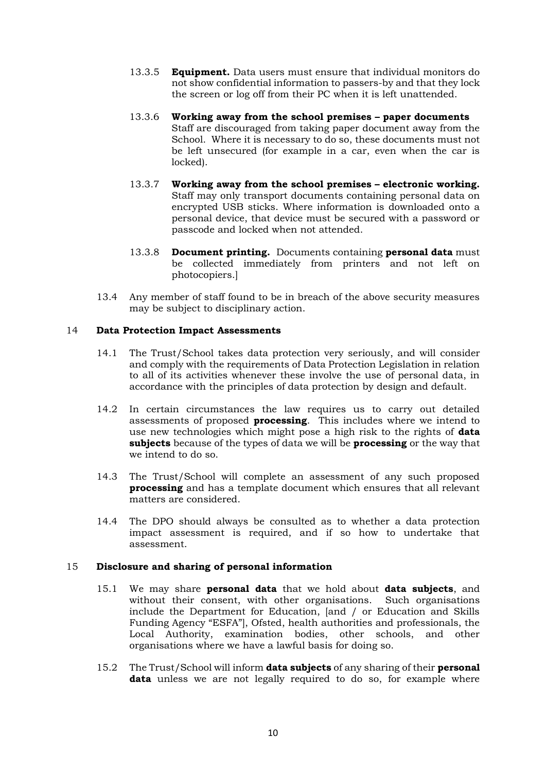- 13.3.5 **Equipment.** Data users must ensure that individual monitors do not show confidential information to passers-by and that they lock the screen or log off from their PC when it is left unattended.
- 13.3.6 **Working away from the school premises – paper documents** Staff are discouraged from taking paper document away from the School. Where it is necessary to do so, these documents must not be left unsecured (for example in a car, even when the car is locked).
- 13.3.7 **Working away from the school premises – electronic working.**  Staff may only transport documents containing personal data on encrypted USB sticks. Where information is downloaded onto a personal device, that device must be secured with a password or passcode and locked when not attended.
- 13.3.8 **Document printing.** Documents containing **personal data** must be collected immediately from printers and not left on photocopiers.]
- 13.4 Any member of staff found to be in breach of the above security measures may be subject to disciplinary action.

### 14 **Data Protection Impact Assessments**

- 14.1 The Trust/School takes data protection very seriously, and will consider and comply with the requirements of Data Protection Legislation in relation to all of its activities whenever these involve the use of personal data, in accordance with the principles of data protection by design and default.
- 14.2 In certain circumstances the law requires us to carry out detailed assessments of proposed **processing**. This includes where we intend to use new technologies which might pose a high risk to the rights of **data subjects** because of the types of data we will be **processing** or the way that we intend to do so.
- 14.3 The Trust/School will complete an assessment of any such proposed **processing** and has a template document which ensures that all relevant matters are considered.
- 14.4 The DPO should always be consulted as to whether a data protection impact assessment is required, and if so how to undertake that assessment.

# 15 **Disclosure and sharing of personal information**

- 15.1 We may share **personal data** that we hold about **data subjects**, and without their consent, with other organisations. Such organisations include the Department for Education, [and / or Education and Skills Funding Agency "ESFA"], Ofsted, health authorities and professionals, the Local Authority, examination bodies, other schools, and other organisations where we have a lawful basis for doing so.
- 15.2 The Trust/School will inform **data subjects** of any sharing of their **personal**  data unless we are not legally required to do so, for example where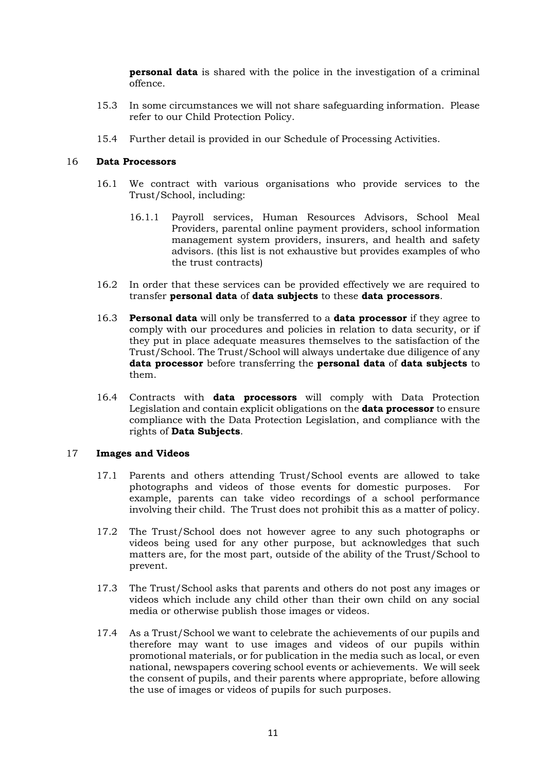**personal data** is shared with the police in the investigation of a criminal offence.

- 15.3 In some circumstances we will not share safeguarding information. Please refer to our Child Protection Policy.
- 15.4 Further detail is provided in our Schedule of Processing Activities.

#### 16 **Data Processors**

- 16.1 We contract with various organisations who provide services to the Trust/School, including:
	- 16.1.1 Payroll services, Human Resources Advisors, School Meal Providers, parental online payment providers, school information management system providers, insurers, and health and safety advisors. (this list is not exhaustive but provides examples of who the trust contracts)
- 16.2 In order that these services can be provided effectively we are required to transfer **personal data** of **data subjects** to these **data processors**.
- 16.3 **Personal data** will only be transferred to a **data processor** if they agree to comply with our procedures and policies in relation to data security, or if they put in place adequate measures themselves to the satisfaction of the Trust/School. The Trust/School will always undertake due diligence of any **data processor** before transferring the **personal data** of **data subjects** to them.
- 16.4 Contracts with **data processors** will comply with Data Protection Legislation and contain explicit obligations on the **data processor** to ensure compliance with the Data Protection Legislation, and compliance with the rights of **Data Subjects**.

#### 17 **Images and Videos**

- 17.1 Parents and others attending Trust/School events are allowed to take photographs and videos of those events for domestic purposes. For example, parents can take video recordings of a school performance involving their child. The Trust does not prohibit this as a matter of policy.
- 17.2 The Trust/School does not however agree to any such photographs or videos being used for any other purpose, but acknowledges that such matters are, for the most part, outside of the ability of the Trust/School to prevent.
- 17.3 The Trust/School asks that parents and others do not post any images or videos which include any child other than their own child on any social media or otherwise publish those images or videos.
- 17.4 As a Trust/School we want to celebrate the achievements of our pupils and therefore may want to use images and videos of our pupils within promotional materials, or for publication in the media such as local, or even national, newspapers covering school events or achievements. We will seek the consent of pupils, and their parents where appropriate, before allowing the use of images or videos of pupils for such purposes.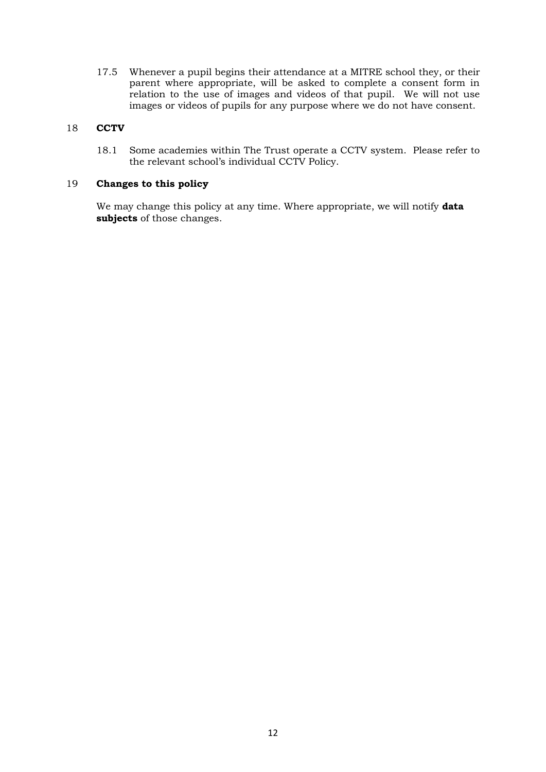17.5 Whenever a pupil begins their attendance at a MITRE school they, or their parent where appropriate, will be asked to complete a consent form in relation to the use of images and videos of that pupil. We will not use images or videos of pupils for any purpose where we do not have consent.

# 18 **CCTV**

18.1 Some academies within The Trust operate a CCTV system. Please refer to the relevant school's individual CCTV Policy.

# 19 **Changes to this policy**

We may change this policy at any time. Where appropriate, we will notify **data subjects** of those changes.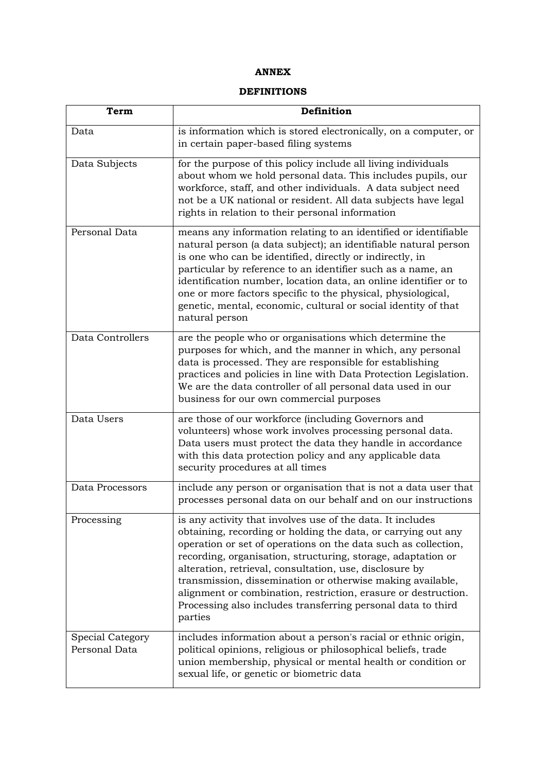# **ANNEX**

# **DEFINITIONS**

| Term                              | Definition                                                                                                                                                                                                                                                                                                                                                                                                                                                                                                                          |
|-----------------------------------|-------------------------------------------------------------------------------------------------------------------------------------------------------------------------------------------------------------------------------------------------------------------------------------------------------------------------------------------------------------------------------------------------------------------------------------------------------------------------------------------------------------------------------------|
| Data                              | is information which is stored electronically, on a computer, or<br>in certain paper-based filing systems                                                                                                                                                                                                                                                                                                                                                                                                                           |
| Data Subjects                     | for the purpose of this policy include all living individuals<br>about whom we hold personal data. This includes pupils, our<br>workforce, staff, and other individuals. A data subject need<br>not be a UK national or resident. All data subjects have legal<br>rights in relation to their personal information                                                                                                                                                                                                                  |
| Personal Data                     | means any information relating to an identified or identifiable<br>natural person (a data subject); an identifiable natural person<br>is one who can be identified, directly or indirectly, in<br>particular by reference to an identifier such as a name, an<br>identification number, location data, an online identifier or to<br>one or more factors specific to the physical, physiological,<br>genetic, mental, economic, cultural or social identity of that<br>natural person                                               |
| Data Controllers                  | are the people who or organisations which determine the<br>purposes for which, and the manner in which, any personal<br>data is processed. They are responsible for establishing<br>practices and policies in line with Data Protection Legislation.<br>We are the data controller of all personal data used in our<br>business for our own commercial purposes                                                                                                                                                                     |
| Data Users                        | are those of our workforce (including Governors and<br>volunteers) whose work involves processing personal data.<br>Data users must protect the data they handle in accordance<br>with this data protection policy and any applicable data<br>security procedures at all times                                                                                                                                                                                                                                                      |
| Data Processors                   | include any person or organisation that is not a data user that<br>processes personal data on our behalf and on our instructions                                                                                                                                                                                                                                                                                                                                                                                                    |
| Processing                        | is any activity that involves use of the data. It includes<br>obtaining, recording or holding the data, or carrying out any<br>operation or set of operations on the data such as collection,<br>recording, organisation, structuring, storage, adaptation or<br>alteration, retrieval, consultation, use, disclosure by<br>transmission, dissemination or otherwise making available,<br>alignment or combination, restriction, erasure or destruction.<br>Processing also includes transferring personal data to third<br>parties |
| Special Category<br>Personal Data | includes information about a person's racial or ethnic origin,<br>political opinions, religious or philosophical beliefs, trade<br>union membership, physical or mental health or condition or<br>sexual life, or genetic or biometric data                                                                                                                                                                                                                                                                                         |